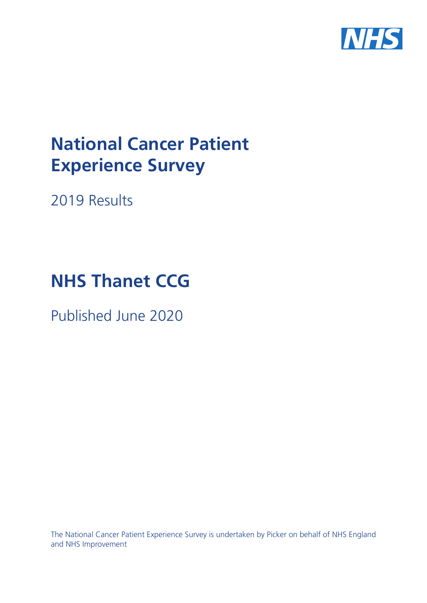

# **National Cancer Patient Experience Survey**

2019 Results

# **NHS Thanet CCG**

Published June 2020

The National Cancer Patient Experience Survey is undertaken by Picker on behalf of NHS England and NHS Improvement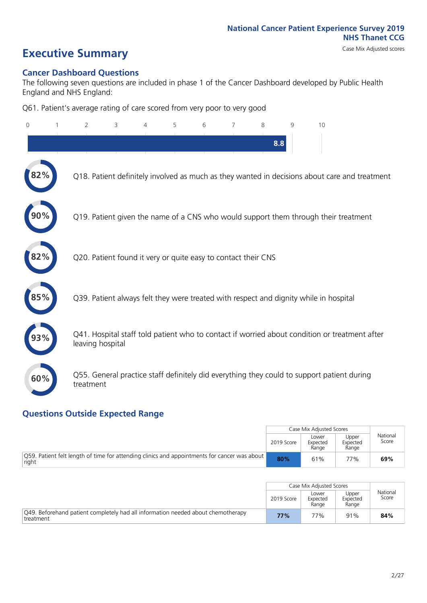# **Executive Summary** Case Mix Adjusted scores

### **Cancer Dashboard Questions**

The following seven questions are included in phase 1 of the Cancer Dashboard developed by Public Health England and NHS England:

Q61. Patient's average rating of care scored from very poor to very good

| $\mathbf{0}$ | $\overline{2}$   | 3                                                             | 4 | 5 | 6 | 7 | 8   | 9 | 10                                                                                            |
|--------------|------------------|---------------------------------------------------------------|---|---|---|---|-----|---|-----------------------------------------------------------------------------------------------|
|              |                  |                                                               |   |   |   |   | 8.8 |   |                                                                                               |
| 2%           |                  |                                                               |   |   |   |   |     |   | Q18. Patient definitely involved as much as they wanted in decisions about care and treatment |
|              |                  |                                                               |   |   |   |   |     |   | Q19. Patient given the name of a CNS who would support them through their treatment           |
| 82%          |                  | Q20. Patient found it very or quite easy to contact their CNS |   |   |   |   |     |   |                                                                                               |
|              |                  |                                                               |   |   |   |   |     |   | Q39. Patient always felt they were treated with respect and dignity while in hospital         |
|              | leaving hospital |                                                               |   |   |   |   |     |   | Q41. Hospital staff told patient who to contact if worried about condition or treatment after |
| 60%          | treatment        |                                                               |   |   |   |   |     |   | Q55. General practice staff definitely did everything they could to support patient during    |

### **Questions Outside Expected Range**

|                                                                                                               |            | Case Mix Adjusted Scores   |                            |                   |
|---------------------------------------------------------------------------------------------------------------|------------|----------------------------|----------------------------|-------------------|
|                                                                                                               | 2019 Score | Lower<br>Expected<br>Range | Upper<br>Expected<br>Range | National<br>Score |
| $\vert$ Q59. Patient felt length of time for attending clinics and appointments for cancer was about<br>right | 80%        | 61%                        | 77%                        | 69%               |

|                                                                                               |            | Case Mix Adjusted Scores   |                            |                   |
|-----------------------------------------------------------------------------------------------|------------|----------------------------|----------------------------|-------------------|
|                                                                                               | 2019 Score | Lower<br>Expected<br>Range | Upper<br>Expected<br>Range | National<br>Score |
| Q49. Beforehand patient completely had all information needed about chemotherapy<br>treatment | 77%        | 77%                        | 91%                        | 84%               |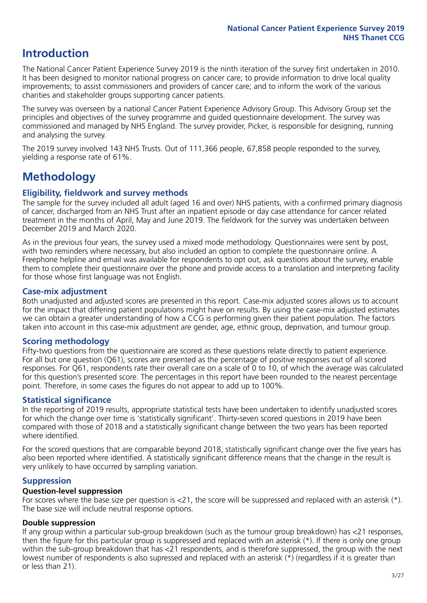# **Introduction**

The National Cancer Patient Experience Survey 2019 is the ninth iteration of the survey first undertaken in 2010. It has been designed to monitor national progress on cancer care; to provide information to drive local quality improvements; to assist commissioners and providers of cancer care; and to inform the work of the various charities and stakeholder groups supporting cancer patients.

The survey was overseen by a national Cancer Patient Experience Advisory Group. This Advisory Group set the principles and objectives of the survey programme and guided questionnaire development. The survey was commissioned and managed by NHS England. The survey provider, Picker, is responsible for designing, running and analysing the survey.

The 2019 survey involved 143 NHS Trusts. Out of 111,366 people, 67,858 people responded to the survey, yielding a response rate of 61%.

# **Methodology**

### **Eligibility, eldwork and survey methods**

The sample for the survey included all adult (aged 16 and over) NHS patients, with a confirmed primary diagnosis of cancer, discharged from an NHS Trust after an inpatient episode or day case attendance for cancer related treatment in the months of April, May and June 2019. The fieldwork for the survey was undertaken between December 2019 and March 2020.

As in the previous four years, the survey used a mixed mode methodology. Questionnaires were sent by post, with two reminders where necessary, but also included an option to complete the questionnaire online. A Freephone helpline and email was available for respondents to opt out, ask questions about the survey, enable them to complete their questionnaire over the phone and provide access to a translation and interpreting facility for those whose first language was not English.

### **Case-mix adjustment**

Both unadjusted and adjusted scores are presented in this report. Case-mix adjusted scores allows us to account for the impact that differing patient populations might have on results. By using the case-mix adjusted estimates we can obtain a greater understanding of how a CCG is performing given their patient population. The factors taken into account in this case-mix adjustment are gender, age, ethnic group, deprivation, and tumour group.

### **Scoring methodology**

Fifty-two questions from the questionnaire are scored as these questions relate directly to patient experience. For all but one question (Q61), scores are presented as the percentage of positive responses out of all scored responses. For Q61, respondents rate their overall care on a scale of 0 to 10, of which the average was calculated for this question's presented score. The percentages in this report have been rounded to the nearest percentage point. Therefore, in some cases the figures do not appear to add up to 100%.

### **Statistical significance**

In the reporting of 2019 results, appropriate statistical tests have been undertaken to identify unadjusted scores for which the change over time is 'statistically significant'. Thirty-seven scored questions in 2019 have been compared with those of 2018 and a statistically significant change between the two years has been reported where identified.

For the scored questions that are comparable beyond 2018, statistically significant change over the five years has also been reported where identified. A statistically significant difference means that the change in the result is very unlikely to have occurred by sampling variation.

### **Suppression**

### **Question-level suppression**

For scores where the base size per question is  $<$ 21, the score will be suppressed and replaced with an asterisk (\*). The base size will include neutral response options.

### **Double suppression**

If any group within a particular sub-group breakdown (such as the tumour group breakdown) has <21 responses, then the figure for this particular group is suppressed and replaced with an asterisk (\*). If there is only one group within the sub-group breakdown that has <21 respondents, and is therefore suppressed, the group with the next lowest number of respondents is also supressed and replaced with an asterisk (\*) (regardless if it is greater than or less than 21).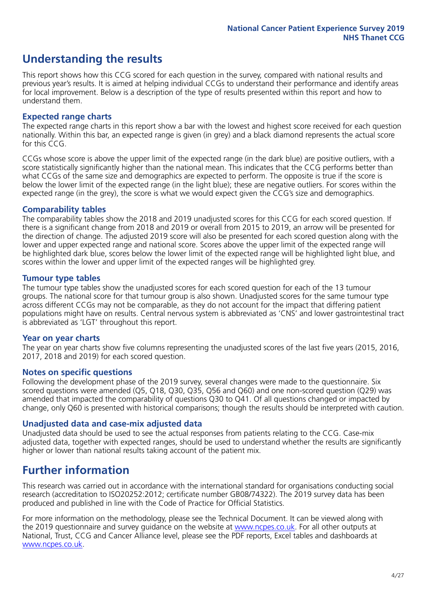# **Understanding the results**

This report shows how this CCG scored for each question in the survey, compared with national results and previous year's results. It is aimed at helping individual CCGs to understand their performance and identify areas for local improvement. Below is a description of the type of results presented within this report and how to understand them.

### **Expected range charts**

The expected range charts in this report show a bar with the lowest and highest score received for each question nationally. Within this bar, an expected range is given (in grey) and a black diamond represents the actual score for this CCG.

CCGs whose score is above the upper limit of the expected range (in the dark blue) are positive outliers, with a score statistically significantly higher than the national mean. This indicates that the CCG performs better than what CCGs of the same size and demographics are expected to perform. The opposite is true if the score is below the lower limit of the expected range (in the light blue); these are negative outliers. For scores within the expected range (in the grey), the score is what we would expect given the CCG's size and demographics.

### **Comparability tables**

The comparability tables show the 2018 and 2019 unadjusted scores for this CCG for each scored question. If there is a significant change from 2018 and 2019 or overall from 2015 to 2019, an arrow will be presented for the direction of change. The adjusted 2019 score will also be presented for each scored question along with the lower and upper expected range and national score. Scores above the upper limit of the expected range will be highlighted dark blue, scores below the lower limit of the expected range will be highlighted light blue, and scores within the lower and upper limit of the expected ranges will be highlighted grey.

### **Tumour type tables**

The tumour type tables show the unadjusted scores for each scored question for each of the 13 tumour groups. The national score for that tumour group is also shown. Unadjusted scores for the same tumour type across different CCGs may not be comparable, as they do not account for the impact that differing patient populations might have on results. Central nervous system is abbreviated as 'CNS' and lower gastrointestinal tract is abbreviated as 'LGT' throughout this report.

### **Year on year charts**

The year on year charts show five columns representing the unadjusted scores of the last five years (2015, 2016, 2017, 2018 and 2019) for each scored question.

### **Notes on specific questions**

Following the development phase of the 2019 survey, several changes were made to the questionnaire. Six scored questions were amended (Q5, Q18, Q30, Q35, Q56 and Q60) and one non-scored question (Q29) was amended that impacted the comparability of questions Q30 to Q41. Of all questions changed or impacted by change, only Q60 is presented with historical comparisons; though the results should be interpreted with caution.

### **Unadjusted data and case-mix adjusted data**

Unadjusted data should be used to see the actual responses from patients relating to the CCG. Case-mix adjusted data, together with expected ranges, should be used to understand whether the results are significantly higher or lower than national results taking account of the patient mix.

### **Further information**

This research was carried out in accordance with the international standard for organisations conducting social research (accreditation to ISO20252:2012; certificate number GB08/74322). The 2019 survey data has been produced and published in line with the Code of Practice for Official Statistics.

For more information on the methodology, please see the Technical Document. It can be viewed along with the 2019 questionnaire and survey quidance on the website at [www.ncpes.co.uk](https://www.ncpes.co.uk/supporting-documents). For all other outputs at National, Trust, CCG and Cancer Alliance level, please see the PDF reports, Excel tables and dashboards at [www.ncpes.co.uk.](https://www.ncpes.co.uk/current-results)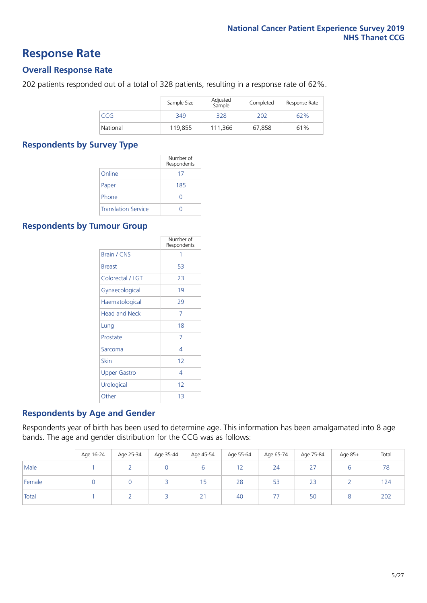### **Response Rate**

### **Overall Response Rate**

202 patients responded out of a total of 328 patients, resulting in a response rate of 62%.

|          | Sample Size | Adjusted<br>Sample | Completed | Response Rate |
|----------|-------------|--------------------|-----------|---------------|
| CCG      | 349         | 328                | 202       | 62%           |
| National | 119,855     | 111.366            | 67,858    | 61%           |

### **Respondents by Survey Type**

|                            | Number of<br>Respondents |
|----------------------------|--------------------------|
| Online                     | 17                       |
| Paper                      | 185                      |
| Phone                      |                          |
| <b>Translation Service</b> |                          |

### **Respondents by Tumour Group**

|                      | Number of<br>Respondents |
|----------------------|--------------------------|
| <b>Brain / CNS</b>   | 1                        |
| <b>Breast</b>        | 53                       |
| Colorectal / LGT     | 23                       |
| Gynaecological       | 19                       |
| Haematological       | 29                       |
| <b>Head and Neck</b> | 7                        |
| Lung                 | 18                       |
| Prostate             | 7                        |
| Sarcoma              | 4                        |
| Skin                 | 12                       |
| <b>Upper Gastro</b>  | 4                        |
| Urological           | 12                       |
| Other                | 13                       |

### **Respondents by Age and Gender**

Respondents year of birth has been used to determine age. This information has been amalgamated into 8 age bands. The age and gender distribution for the CCG was as follows:

|        | Age 16-24 | Age 25-34 | Age 35-44 | Age 45-54 | Age 55-64 | Age 65-74 | Age 75-84                     | Age 85+ | Total |
|--------|-----------|-----------|-----------|-----------|-----------|-----------|-------------------------------|---------|-------|
| Male   |           |           |           |           | 12        | 24        | $\sim$ $-$<br>$\mathcal{L}$ . |         | 78    |
| Female |           |           |           | 15        | 28        | 53        | 23                            |         | 124   |
| Total  |           |           |           | 21        | 40        | 77        | 50                            |         | 202   |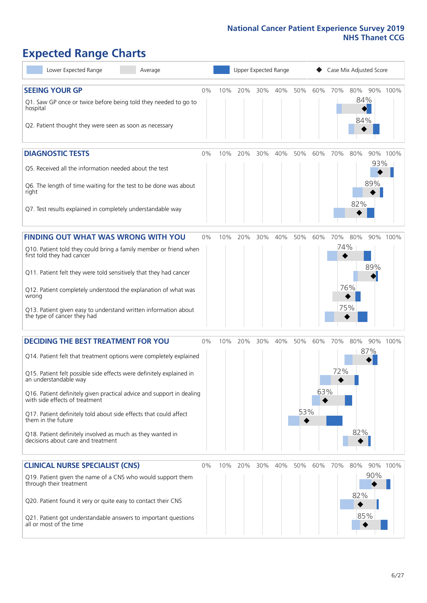# **Expected Range Charts**

| Lower Expected Range<br>Average                                                                                                                                                                                                                                                                                                                                                                                                                                                                                             |       |     | Upper Expected Range |     |     |                 |            |            | Case Mix Adjusted Score |                        |  |
|-----------------------------------------------------------------------------------------------------------------------------------------------------------------------------------------------------------------------------------------------------------------------------------------------------------------------------------------------------------------------------------------------------------------------------------------------------------------------------------------------------------------------------|-------|-----|----------------------|-----|-----|-----------------|------------|------------|-------------------------|------------------------|--|
| <b>SEEING YOUR GP</b><br>Q1. Saw GP once or twice before being told they needed to go to<br>hospital<br>Q2. Patient thought they were seen as soon as necessary                                                                                                                                                                                                                                                                                                                                                             | 0%    | 10% | 20%                  | 30% | 40% | 50%             | 60%        | 70%        | 80%<br>84%<br>84%       | 90% 100%               |  |
| <b>DIAGNOSTIC TESTS</b><br>Q5. Received all the information needed about the test<br>Q6. The length of time waiting for the test to be done was about<br>right<br>Q7. Test results explained in completely understandable way                                                                                                                                                                                                                                                                                               | $0\%$ | 10% | 20%                  | 30% | 40% | 50%             | 60%        | 70%        | 80%<br>82%              | 90% 100%<br>93%<br>89% |  |
| <b>FINDING OUT WHAT WAS WRONG WITH YOU</b><br>Q10. Patient told they could bring a family member or friend when<br>first told they had cancer<br>Q11. Patient felt they were told sensitively that they had cancer<br>Q12. Patient completely understood the explanation of what was<br>wrong<br>Q13. Patient given easy to understand written information about<br>the type of cancer they had                                                                                                                             | $0\%$ | 10% | 20%                  | 30% | 40% | 50%             | 60%        | 70%<br>74% | 80%<br>76%<br>75%       | 90% 100%<br>89%        |  |
| <b>DECIDING THE BEST TREATMENT FOR YOU</b><br>Q14. Patient felt that treatment options were completely explained<br>Q15. Patient felt possible side effects were definitely explained in<br>an understandable way<br>Q16. Patient definitely given practical advice and support in dealing<br>with side effects of treatment<br>Q17. Patient definitely told about side effects that could affect<br>them in the future<br>Q18. Patient definitely involved as much as they wanted in<br>decisions about care and treatment | $0\%$ | 10% | 20%                  | 30% | 40% | 50%<br>53%<br>◆ | 60%<br>63% | 70%<br>72% | 80%<br>87%<br>82%       | 90% 100%               |  |
| <b>CLINICAL NURSE SPECIALIST (CNS)</b><br>Q19. Patient given the name of a CNS who would support them<br>through their treatment<br>Q20. Patient found it very or quite easy to contact their CNS<br>Q21. Patient got understandable answers to important questions<br>all or most of the time                                                                                                                                                                                                                              | $0\%$ |     | 10% 20%              | 30% | 40% | 50%             | 60%        | 70%        | 80%<br>82%<br>85%       | 90% 100%<br>90%        |  |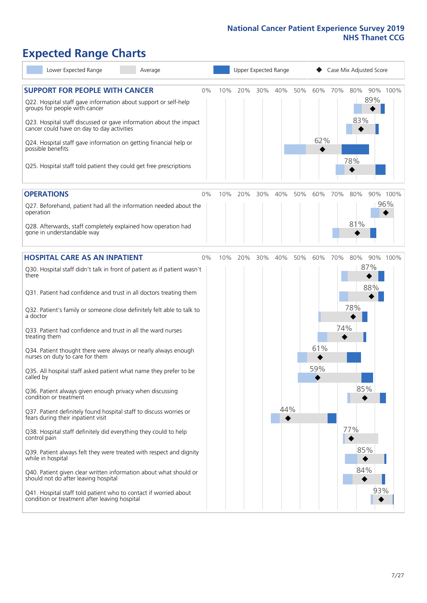# **Expected Range Charts**

| Lower Expected Range<br>Average                                                                                                                                                                                          |     |     | Upper Expected Range |     |     |     | Case Mix Adjusted Score |                   |          |  |
|--------------------------------------------------------------------------------------------------------------------------------------------------------------------------------------------------------------------------|-----|-----|----------------------|-----|-----|-----|-------------------------|-------------------|----------|--|
| <b>SUPPORT FOR PEOPLE WITH CANCER</b><br>$0\%$<br>Q22. Hospital staff gave information about support or self-help<br>groups for people with cancer<br>Q23. Hospital staff discussed or gave information about the impact | 10% | 20% | 30%                  | 40% | 50% | 60% | 70%                     | 80%<br>89%<br>83% | 90% 100% |  |
| cancer could have on day to day activities<br>Q24. Hospital staff gave information on getting financial help or<br>possible benefits<br>Q25. Hospital staff told patient they could get free prescriptions               |     |     |                      |     |     | 62% |                         | 78%               |          |  |
| <b>OPERATIONS</b><br>$0\%$                                                                                                                                                                                               | 10% | 20% | 30%                  | 40% | 50% | 60% | 70%                     | 80%               | 90% 100% |  |
| Q27. Beforehand, patient had all the information needed about the<br>operation                                                                                                                                           |     |     |                      |     |     |     |                         | 81%               | 96%      |  |
| Q28. Afterwards, staff completely explained how operation had<br>gone in understandable way                                                                                                                              |     |     |                      |     |     |     |                         |                   |          |  |
| <b>HOSPITAL CARE AS AN INPATIENT</b><br>0%                                                                                                                                                                               | 10% | 20% | 30%                  | 40% | 50% | 60% | 70%                     | 80%               | 90% 100% |  |
| Q30. Hospital staff didn't talk in front of patient as if patient wasn't<br>there                                                                                                                                        |     |     |                      |     |     |     |                         | 87%<br>88%        |          |  |
| Q31. Patient had confidence and trust in all doctors treating them                                                                                                                                                       |     |     |                      |     |     |     |                         |                   |          |  |
| Q32. Patient's family or someone close definitely felt able to talk to<br>a doctor                                                                                                                                       |     |     |                      |     |     |     |                         | 78%               |          |  |
| Q33. Patient had confidence and trust in all the ward nurses<br>treating them                                                                                                                                            |     |     |                      |     |     |     | 74%                     |                   |          |  |
| Q34. Patient thought there were always or nearly always enough<br>nurses on duty to care for them                                                                                                                        |     |     |                      |     |     | 61% |                         |                   |          |  |
| Q35. All hospital staff asked patient what name they prefer to be<br>called by                                                                                                                                           |     |     |                      |     |     | 59% |                         |                   |          |  |
| Q36. Patient always given enough privacy when discussing<br>condition or treatment                                                                                                                                       |     |     |                      |     |     |     |                         | 85%               |          |  |
| Q37. Patient definitely found hospital staff to discuss worries or<br>fears during their inpatient visit                                                                                                                 |     |     |                      | 44% |     |     |                         |                   |          |  |
| Q38. Hospital staff definitely did everything they could to help<br>control pain                                                                                                                                         |     |     |                      |     |     |     |                         | 77%               |          |  |
| Q39. Patient always felt they were treated with respect and dignity<br>while in hospital                                                                                                                                 |     |     |                      |     |     |     |                         | 85%               |          |  |
| Q40. Patient given clear written information about what should or<br>should not do after leaving hospital                                                                                                                |     |     |                      |     |     |     |                         | 84%               |          |  |
| Q41. Hospital staff told patient who to contact if worried about<br>condition or treatment after leaving hospital                                                                                                        |     |     |                      |     |     |     |                         | 93%               |          |  |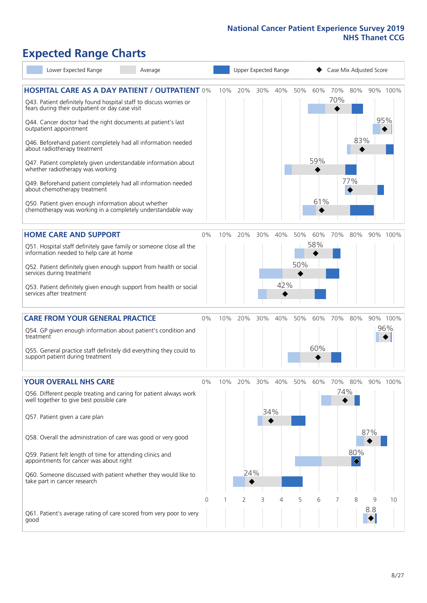# **Expected Range Charts**

| Lower Expected Range<br>Average                                                                                                                                                |       |     |     |     | Upper Expected Range |     |     | Case Mix Adjusted Score |                                     |          |          |
|--------------------------------------------------------------------------------------------------------------------------------------------------------------------------------|-------|-----|-----|-----|----------------------|-----|-----|-------------------------|-------------------------------------|----------|----------|
| <b>HOSPITAL CARE AS A DAY PATIENT / OUTPATIENT 0%</b><br>Q43. Patient definitely found hospital staff to discuss worries or<br>fears during their outpatient or day case visit |       | 10% | 20% | 30% | 40%                  | 50% | 60% | 70%<br>70%              | 80%                                 |          | 90% 100% |
| Q44. Cancer doctor had the right documents at patient's last<br>outpatient appointment                                                                                         |       |     |     |     |                      |     |     |                         |                                     |          | 95%      |
| Q46. Beforehand patient completely had all information needed<br>about radiotherapy treatment                                                                                  |       |     |     |     |                      |     |     |                         | 83%                                 |          |          |
| Q47. Patient completely given understandable information about<br>whether radiotherapy was working                                                                             |       |     |     |     |                      |     | 59% |                         |                                     |          |          |
| Q49. Beforehand patient completely had all information needed<br>about chemotherapy treatment                                                                                  |       |     |     |     |                      |     |     |                         | 77%                                 |          |          |
| Q50. Patient given enough information about whether<br>chemotherapy was working in a completely understandable way                                                             |       |     |     |     |                      |     | 61% |                         |                                     |          |          |
| <b>HOME CARE AND SUPPORT</b>                                                                                                                                                   | 0%    | 10% | 20% | 30% | 40%                  | 50% | 60% | 70%                     | 80%                                 |          | 90% 100% |
| Q51. Hospital staff definitely gave family or someone close all the<br>information needed to help care at home                                                                 |       |     |     |     |                      |     | 58% |                         |                                     |          |          |
| Q52. Patient definitely given enough support from health or social<br>services during treatment                                                                                |       |     |     |     |                      | 50% |     |                         |                                     |          |          |
| Q53. Patient definitely given enough support from health or social<br>services after treatment                                                                                 |       |     |     |     | 42%                  |     |     |                         |                                     |          |          |
| <b>CARE FROM YOUR GENERAL PRACTICE</b>                                                                                                                                         | 0%    | 10% | 20% | 30% | 40%                  | 50% | 60% | 70%                     | 80%                                 |          | 90% 100% |
| Q54. GP given enough information about patient's condition and<br>treatment                                                                                                    |       |     |     |     |                      |     |     |                         |                                     |          | 96%      |
| Q55. General practice staff definitely did everything they could to<br>support patient during treatment                                                                        |       |     |     |     |                      |     | 60% |                         |                                     |          |          |
| <b>YOUR OVERALL NHS CARE</b>                                                                                                                                                   | $0\%$ | 10% | 20% | 30% | 40%                  | 50% | 60% | 70%                     | 80%                                 |          | 90% 100% |
| Q56. Different people treating and caring for patient always work<br>well together to give best possible care                                                                  |       |     |     |     |                      |     |     | 74%                     |                                     |          |          |
| Q57. Patient given a care plan                                                                                                                                                 |       |     |     | 34% |                      |     |     |                         |                                     |          |          |
| Q58. Overall the administration of care was good or very good                                                                                                                  |       |     |     |     |                      |     |     |                         |                                     | 87%      |          |
| Q59. Patient felt length of time for attending clinics and<br>appointments for cancer was about right                                                                          |       |     |     |     |                      |     |     |                         | 80%<br>$\color{black}\blacklozenge$ |          |          |
| Q60. Someone discussed with patient whether they would like to<br>take part in cancer research                                                                                 |       |     | 24% |     |                      |     |     |                         |                                     |          |          |
|                                                                                                                                                                                | 0     |     | 2   | 3   | 4                    | 5   | 6   |                         | 8                                   | 9<br>8.8 | 10       |
| Q61. Patient's average rating of care scored from very poor to very<br>good                                                                                                    |       |     |     |     |                      |     |     |                         |                                     |          |          |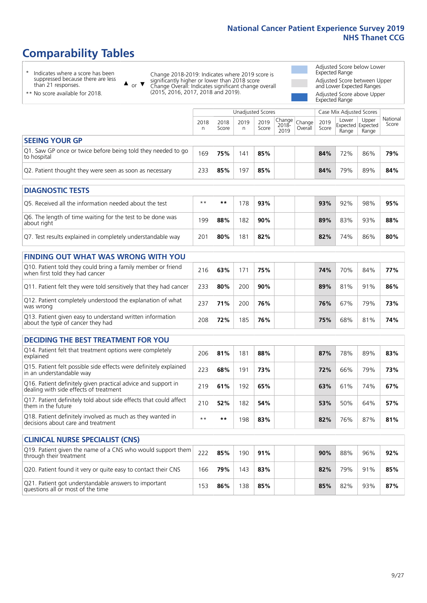# **Comparability Tables**

\* Indicates where a score has been suppressed because there are less than 21 responses.

\*\* No score available for 2018.

 $\triangle$  or  $\nabla$ 

Change 2018-2019: Indicates where 2019 score is significantly higher or lower than 2018 score Change Overall: Indicates significant change overall (2015, 2016, 2017, 2018 and 2019).

Adjusted Score below Lower Expected Range Adjusted Score between Upper and Lower Expected Ranges Adjusted Score above Upper

Expected Range

|                                                                             |           |               | Unadjusted Scores |               |                                                                  |         |               | Case Mix Adjusted Scores |                                     |                   |
|-----------------------------------------------------------------------------|-----------|---------------|-------------------|---------------|------------------------------------------------------------------|---------|---------------|--------------------------|-------------------------------------|-------------------|
|                                                                             | 2018<br>n | 2018<br>Score | 2019<br>n         | 2019<br>Score | $\left  \right $   Change   $\left  \right $<br>$2018 -$<br>2019 | Overall | 2019<br>Score | Lower<br>Range           | Upper<br>Expected Expected<br>Range | National<br>Score |
| <b>SEEING YOUR GP</b>                                                       |           |               |                   |               |                                                                  |         |               |                          |                                     |                   |
| Q1. Saw GP once or twice before being told they needed to go<br>to hospital | 169       | 75%           | 141               | 85%           |                                                                  |         | 84%           | 72%                      | 86%                                 | 79%               |
| Q2. Patient thought they were seen as soon as necessary                     | 233       | 85%           | 197               | 85%           |                                                                  |         | 84%           | 79%                      | 89%                                 | 84%               |
| <b>DIAGNOSTIC TESTS</b>                                                     |           |               |                   |               |                                                                  |         |               |                          |                                     |                   |

| O5. Received all the information needed about the test                    | $**$ | **  | 78  | 93% | 93% | 92% | 98% | 95% |
|---------------------------------------------------------------------------|------|-----|-----|-----|-----|-----|-----|-----|
| O6. The length of time waiting for the test to be done was<br>about right | 199  | 88% | 182 | 90% | 89% | 83% | 93% | 88% |
| Q7. Test results explained in completely understandable way               | 201  | 80% | 81  | 82% | 82% | 74% | 86% | 80% |

| <b>FINDING OUT WHAT WAS WRONG WITH YOU</b>                                                      |     |     |     |     |     |     |     |     |
|-------------------------------------------------------------------------------------------------|-----|-----|-----|-----|-----|-----|-----|-----|
| Q10. Patient told they could bring a family member or friend<br>when first told they had cancer | 216 | 63% | 171 | 75% | 74% | 70% | 84% | 77% |
| Q11. Patient felt they were told sensitively that they had cancer                               | 233 | 80% | 200 | 90% | 89% | 81% | 91% | 86% |
| Q12. Patient completely understood the explanation of what<br>was wrong                         | 237 | 71% | 200 | 76% | 76% | 67% | 79% | 73% |
| Q13. Patient given easy to understand written information<br>about the type of cancer they had  | 208 | 72% | 185 | 76% | 75% | 68% | 81% | 74% |

| <b>DECIDING THE BEST TREATMENT FOR YOU</b>                                                              |      |     |     |     |     |     |     |     |
|---------------------------------------------------------------------------------------------------------|------|-----|-----|-----|-----|-----|-----|-----|
| Q14. Patient felt that treatment options were completely<br>explained                                   | 206  | 81% | 181 | 88% | 87% | 78% | 89% | 83% |
| Q15. Patient felt possible side effects were definitely explained<br>in an understandable way           | 223  | 68% | 191 | 73% | 72% | 66% | 79% | 73% |
| Q16. Patient definitely given practical advice and support in<br>dealing with side effects of treatment | 219  | 61% | 192 | 65% | 63% | 61% | 74% | 67% |
| Q17. Patient definitely told about side effects that could affect<br>them in the future                 | 210  | 52% | 182 | 54% | 53% | 50% | 64% | 57% |
| Q18. Patient definitely involved as much as they wanted in<br>decisions about care and treatment        | $**$ | **  | 198 | 83% | 82% | 76% | 87% | 81% |

| <b>CLINICAL NURSE SPECIALIST (CNS)</b>                                                    |     |     |     |     |     |     |     |     |
|-------------------------------------------------------------------------------------------|-----|-----|-----|-----|-----|-----|-----|-----|
| Q19. Patient given the name of a CNS who would support them<br>through their treatment    | 222 | 85% | 190 | 91% | 90% | 88% | 96% | 92% |
| Q20. Patient found it very or quite easy to contact their CNS                             | 166 | 79% | 143 | 83% | 82% | 79% | 91% | 85% |
| Q21. Patient got understandable answers to important<br>questions all or most of the time | 153 | 86% | 138 | 85% | 85% | 82% | 93% | 87% |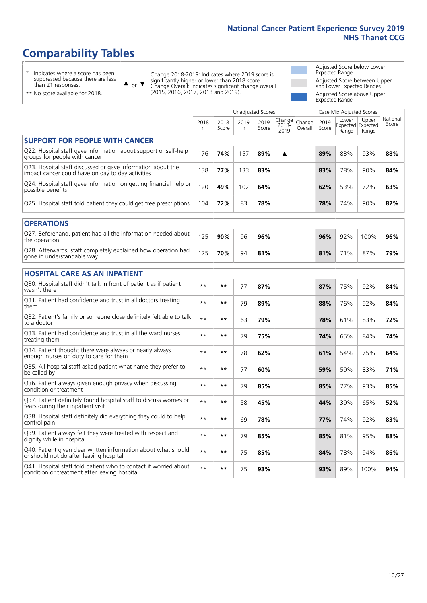# **Comparability Tables**

\* Indicates where a score has been suppressed because there are less than 21 responses.

\*\* No score available for 2018.

 $\triangle$  or  $\nabla$ 

Change 2018-2019: Indicates where 2019 score is significantly higher or lower than 2018 score Change Overall: Indicates significant change overall (2015, 2016, 2017, 2018 and 2019).

Adjusted Score below Lower Expected Range Adjusted Score between Upper and Lower Expected Ranges Adjusted Score above Upper Expected Range

|                                                                                                                   |              |               | <b>Unadjusted Scores</b> |               |                         |                   |               | Case Mix Adjusted Scores |                                     |                   |
|-------------------------------------------------------------------------------------------------------------------|--------------|---------------|--------------------------|---------------|-------------------------|-------------------|---------------|--------------------------|-------------------------------------|-------------------|
|                                                                                                                   | 2018<br>n    | 2018<br>Score | 2019<br>n                | 2019<br>Score | Change<br>2018-<br>2019 | Change<br>Overall | 2019<br>Score | Lower<br>Range           | Upper<br>Expected Expected<br>Range | National<br>Score |
| <b>SUPPORT FOR PEOPLE WITH CANCER</b>                                                                             |              |               |                          |               |                         |                   |               |                          |                                     |                   |
| Q22. Hospital staff gave information about support or self-help<br>groups for people with cancer                  | 176          | 74%           | 157                      | 89%           | ▲                       |                   | 89%           | 83%                      | 93%                                 | 88%               |
| Q23. Hospital staff discussed or gave information about the<br>impact cancer could have on day to day activities  | 138          | 77%           | 133                      | 83%           |                         |                   | 83%           | 78%                      | 90%                                 | 84%               |
| Q24. Hospital staff gave information on getting financial help or<br>possible benefits                            | 120          | 49%           | 102                      | 64%           |                         |                   | 62%           | 53%                      | 72%                                 | 63%               |
| Q25. Hospital staff told patient they could get free prescriptions                                                | 104          | 72%           | 83                       | 78%           |                         |                   | 78%           | 74%                      | 90%                                 | 82%               |
| <b>OPERATIONS</b>                                                                                                 |              |               |                          |               |                         |                   |               |                          |                                     |                   |
| Q27. Beforehand, patient had all the information needed about<br>the operation                                    | 125          | 90%           | 96                       | 96%           |                         |                   | 96%           | 92%                      | 100%                                | 96%               |
| Q28. Afterwards, staff completely explained how operation had<br>gone in understandable way                       | 125          | 70%           | 94                       | 81%           |                         |                   | 81%           | 71%                      | 87%                                 | 79%               |
| <b>HOSPITAL CARE AS AN INPATIENT</b>                                                                              |              |               |                          |               |                         |                   |               |                          |                                     |                   |
| Q30. Hospital staff didn't talk in front of patient as if patient<br>wasn't there                                 | $* *$        | $***$         | 77                       | 87%           |                         |                   | 87%           | 75%                      | 92%                                 | 84%               |
| Q31. Patient had confidence and trust in all doctors treating<br>them                                             | $* *$        | $***$         | 79                       | 89%           |                         |                   | 88%           | 76%                      | 92%                                 | 84%               |
| Q32. Patient's family or someone close definitely felt able to talk<br>to a doctor                                | $* *$        | $***$         | 63                       | 79%           |                         |                   | 78%           | 61%                      | 83%                                 | 72%               |
| Q33. Patient had confidence and trust in all the ward nurses<br>treating them                                     | $**$         | $***$         | 79                       | 75%           |                         |                   | 74%           | 65%                      | 84%                                 | 74%               |
| Q34. Patient thought there were always or nearly always<br>enough nurses on duty to care for them                 | $* *$        | $***$         | 78                       | 62%           |                         |                   | 61%           | 54%                      | 75%                                 | 64%               |
| Q35. All hospital staff asked patient what name they prefer to<br>be called by                                    | $* *$        | $***$         | 77                       | 60%           |                         |                   | 59%           | 59%                      | 83%                                 | 71%               |
| Q36. Patient always given enough privacy when discussing<br>condition or treatment                                | $\star\star$ | $***$         | 79                       | 85%           |                         |                   | 85%           | 77%                      | 93%                                 | 85%               |
| Q37. Patient definitely found hospital staff to discuss worries or<br>fears during their inpatient visit          | $**$         | $***$         | 58                       | 45%           |                         |                   | 44%           | 39%                      | 65%                                 | 52%               |
| Q38. Hospital staff definitely did everything they could to help<br>control pain                                  | $* *$        | $***$         | 69                       | 78%           |                         |                   | 77%           | 74%                      | 92%                                 | 83%               |
| Q39. Patient always felt they were treated with respect and<br>dignity while in hospital                          | $***$        | $***$         | 79                       | 85%           |                         |                   | 85%           | 81%                      | 95%                                 | 88%               |
| Q40. Patient given clear written information about what should<br>or should not do after leaving hospital         | $* *$        | $***$         | 75                       | 85%           |                         |                   | 84%           | 78%                      | 94%                                 | 86%               |
| Q41. Hospital staff told patient who to contact if worried about<br>condition or treatment after leaving hospital | $**$         | **            | 75                       | 93%           |                         |                   | 93%           | 89%                      | 100%                                | 94%               |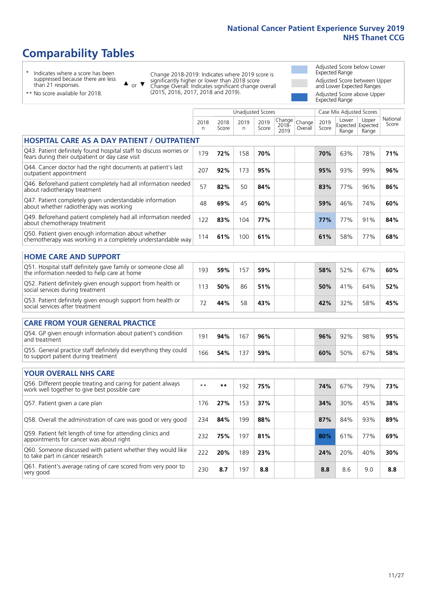# **Comparability Tables**

\* Indicates where a score has been suppressed because there are less than 21 responses.

\*\* No score available for 2018.

 $\triangle$  or  $\nabla$ 

Change 2018-2019: Indicates where 2019 score is significantly higher or lower than 2018 score Change Overall: Indicates significant change overall (2015, 2016, 2017, 2018 and 2019).

Adjusted Score below Lower Expected Range Adjusted Score between Upper and Lower Expected Ranges Adjusted Score above Upper

|                                                                                                                       |              |               |                          |               |                            |                   |               | Expected Range           |                                     |                   |
|-----------------------------------------------------------------------------------------------------------------------|--------------|---------------|--------------------------|---------------|----------------------------|-------------------|---------------|--------------------------|-------------------------------------|-------------------|
|                                                                                                                       |              |               | <b>Unadjusted Scores</b> |               |                            |                   |               | Case Mix Adjusted Scores |                                     |                   |
|                                                                                                                       | 2018<br>n    | 2018<br>Score | 2019<br>n.               | 2019<br>Score | Change<br>$2018 -$<br>2019 | Change<br>Overall | 2019<br>Score | Lower<br>Range           | Upper<br>Expected Expected<br>Range | National<br>Score |
| <b>HOSPITAL CARE AS A DAY PATIENT / OUTPATIENT</b>                                                                    |              |               |                          |               |                            |                   |               |                          |                                     |                   |
| Q43. Patient definitely found hospital staff to discuss worries or<br>fears during their outpatient or day case visit | 179          | 72%           | 158                      | 70%           |                            |                   | 70%           | 63%                      | 78%                                 | 71%               |
| Q44. Cancer doctor had the right documents at patient's last<br>outpatient appointment                                | 207          | 92%           | 173                      | 95%           |                            |                   | 95%           | 93%                      | 99%                                 | 96%               |
| Q46. Beforehand patient completely had all information needed<br>about radiotherapy treatment                         | 57           | 82%           | 50                       | 84%           |                            |                   | 83%           | 77%                      | 96%                                 | 86%               |
| Q47. Patient completely given understandable information<br>about whether radiotherapy was working                    | 48           | 69%           | 45                       | 60%           |                            |                   | 59%           | 46%                      | 74%                                 | 60%               |
| Q49. Beforehand patient completely had all information needed<br>about chemotherapy treatment                         | 122          | 83%           | 104                      | 77%           |                            |                   | 77%           | 77%                      | 91%                                 | 84%               |
| Q50. Patient given enough information about whether<br>chemotherapy was working in a completely understandable way    | 114          | 61%           | 100                      | 61%           |                            |                   | 61%           | 58%                      | 77%                                 | 68%               |
| <b>HOME CARE AND SUPPORT</b>                                                                                          |              |               |                          |               |                            |                   |               |                          |                                     |                   |
| Q51. Hospital staff definitely gave family or someone close all<br>the information needed to help care at home        | 193          | 59%           | 157                      | 59%           |                            |                   | 58%           | 52%                      | 67%                                 | 60%               |
| Q52. Patient definitely given enough support from health or<br>social services during treatment                       | 113          | 50%           | 86                       | 51%           |                            |                   | 50%           | 41%                      | 64%                                 | 52%               |
| Q53. Patient definitely given enough support from health or<br>social services after treatment                        | 72           | 44%           | 58                       | 43%           |                            |                   | 42%           | 32%                      | 58%                                 | 45%               |
| <b>CARE FROM YOUR GENERAL PRACTICE</b>                                                                                |              |               |                          |               |                            |                   |               |                          |                                     |                   |
| Q54. GP given enough information about patient's condition<br>and treatment                                           | 191          | 94%           | 167                      | 96%           |                            |                   | 96%           | 92%                      | 98%                                 | 95%               |
| Q55. General practice staff definitely did everything they could<br>to support patient during treatment               | 166          | 54%           | 137                      | 59%           |                            |                   | 60%           | 50%                      | 67%                                 | 58%               |
| <b>YOUR OVERALL NHS CARE</b>                                                                                          |              |               |                          |               |                            |                   |               |                          |                                     |                   |
| Q56. Different people treating and caring for patient always<br>work well together to give best possible care         | $\star\star$ | **            | 192                      | 75%           |                            |                   | 74%           | 67%                      | 79%                                 | 73%               |
| Q57. Patient given a care plan                                                                                        | 176          | 27%           | 153                      | 37%           |                            |                   | 34%           | 30%                      | 45%                                 | 38%               |
| Q58. Overall the administration of care was good or very good                                                         | 234          | 84%           | 199                      | 88%           |                            |                   | 87%           | 84%                      | 93%                                 | 89%               |
| Q59. Patient felt length of time for attending clinics and<br>appointments for cancer was about right                 | 232          | 75%           | 197                      | 81%           |                            |                   | 80%           | 61%                      | 77%                                 | 69%               |
| Q60. Someone discussed with patient whether they would like<br>to take part in cancer research                        | 222          | 20%           | 189                      | 23%           |                            |                   | 24%           | 20%                      | 40%                                 | 30%               |
| Q61. Patient's average rating of care scored from very poor to<br>very good                                           | 230          | 8.7           | 197                      | 8.8           |                            |                   | 8.8           | 8.6                      | 9.0                                 | 8.8               |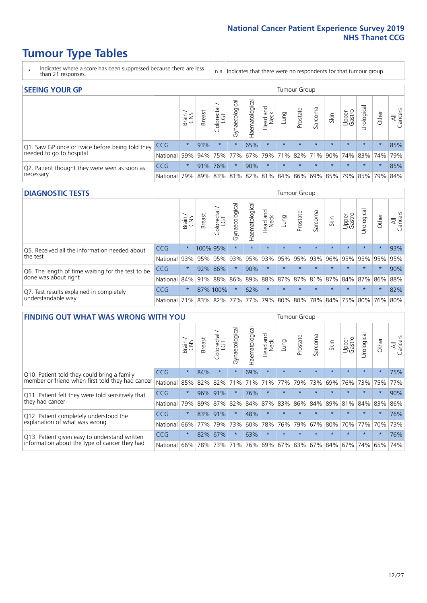- \* Indicates where a score has been suppressed because there are less than 21 responses.
- n.a. Indicates that there were no respondents for that tumour group.

| <b>SEEING YOUR GP</b>                           |            |              |               |            |                    |                |                  |         | Tumour Group |         |         |                 |                                                           |         |                |
|-------------------------------------------------|------------|--------------|---------------|------------|--------------------|----------------|------------------|---------|--------------|---------|---------|-----------------|-----------------------------------------------------------|---------|----------------|
|                                                 |            | Brain<br>CNS | <b>Breast</b> | Colorectal | ᠊ᢛ<br>Gynaecologic | Haematological | Head and<br>Neck | Lung    | Prostate     | Sarcoma | Skin    | Upper<br>Gastro | $\sigma$<br>Irologica                                     | Other   | All<br>Cancers |
| Q1. Saw GP once or twice before being told they | <b>CCG</b> | $\star$      | 93%           | $\star$    | $\star$            | 65%            | $\star$          | $\star$ | $\star$      | $\star$ | $\star$ | $\star$         | $\star$                                                   | $\star$ | 85%            |
| needed to go to hospital                        | National   | 59%          |               |            | 94% 75% 77%        |                |                  |         |              |         |         |                 | 67%   79%   71%   82%   71%   90%   74%   83%   74%   79% |         |                |
| Q2. Patient thought they were seen as soon as   | <b>CCG</b> | $\star$      |               | 91% 76%    | $\star$            | 90%            | $\star$          | $\star$ | $\star$      | $\star$ | $\star$ | $\star$         | $\star$                                                   | $\star$ | 85%            |
| necessary                                       | National   | 79%          |               | 89% 83%    |                    |                |                  |         |              |         |         |                 | 81%   82%   81%   84%   86%   69%   85%   79%   85%   79% |         | 84%            |

#### **DIAGNOSTIC TESTS** Tumour Group

|                                                   |                                          | Brain<br>CNS | <b>Breast</b> | Colorectal<br>LGT | ᠊ᢛ<br>Gynaecologic | Haematological | Head and<br>Neck | Lung        | Prostate | Sarcoma | Skin    | Upper<br>Gastro | rological                                   | Other   | All<br>Cancers |
|---------------------------------------------------|------------------------------------------|--------------|---------------|-------------------|--------------------|----------------|------------------|-------------|----------|---------|---------|-----------------|---------------------------------------------|---------|----------------|
| Q5. Received all the information needed about     | <b>CCG</b>                               | $\star$      |               | 100% 95%          | $\star$            |                | $\star$          | $\star$     | $\star$  | $\star$ | $\star$ | $\star$         | $\star$                                     | $\star$ | 93%            |
| the test                                          | National                                 | 93%          |               | 95% 95%           |                    | 93% 95%        |                  | 93% 95% 95% |          | 93%     | 96%     |                 | 95% 95%                                     | 95%     | 95%            |
| Q6. The length of time waiting for the test to be | <b>CCG</b>                               | $\star$      | 92%           | 86%               | $\star$            | 90%            | $\star$          | $\star$     | $\star$  | $\star$ | $\star$ | $\star$         | $\star$                                     | $\star$ | 90%            |
| done was about right                              | National                                 |              |               | 84% 91% 88%       |                    |                |                  |             |          |         |         |                 | 86% 89% 88% 87% 87% 81% 87% 84% 87% 86% 88% |         |                |
| Q7. Test results explained in completely          | <b>CCG</b>                               | $\star$      |               | 87% 100%          |                    | 62%            | $\star$          | $\star$     | $\star$  | $\star$ | $\star$ | $\star$         | $\star$                                     | $\star$ | 82%            |
| understandable way                                | National 71% 83% 82% 77% 77% 79% 80% 80% |              |               |                   |                    |                |                  |             |          |         |         |                 | 78% 84% 75% 80% 76% 80%                     |         |                |

| <b>FINDING OUT WHAT WAS WRONG WITH YOU</b>        |            |         |               |                             |                |                |                        |             | <b>Tumour Group</b> |         |         |                 |            |         |                |
|---------------------------------------------------|------------|---------|---------------|-----------------------------|----------------|----------------|------------------------|-------------|---------------------|---------|---------|-----------------|------------|---------|----------------|
|                                                   |            | Brain   | <b>Breast</b> | ╮<br>olorectal.<br>LGT<br>Ũ | Gynaecological | Haematological | ad and<br>Neck<br>Head | Lung        | Prostate            | Sarcoma | Skin    | Upper<br>Gastro | Jrological | Other   | All<br>Cancers |
| Q10. Patient told they could bring a family       | <b>CCG</b> | $\star$ | 84%           | $\star$                     | $\star$        | 69%            | $\star$                | $\star$     | $\star$             | $\star$ | $\star$ | $\star$         | $\star$    | $\star$ | 75%            |
| member or friend when first told they had cancer  | National   | 85%     | 82%           | 82%                         | 71%            | 71%            | 71%                    | 77%         | 79%                 | 73%     | 69%     | 76%             | 73%        | 75%     | 77%            |
| Q11. Patient felt they were told sensitively that | <b>CCG</b> | $\star$ | 96%           | 91%                         |                | 76%            | $\star$                | $\star$     | $\star$             | $\star$ | $\star$ | $\star$         | $\star$    | $\star$ | 90%            |
| they had cancer                                   | National   | 79%     | 89% 87%       |                             | 82%            |                |                        | 84% 87% 83% | 86%                 | 84%     | 89%     | 81%             | 84% 83%    |         | 86%            |
| Q12. Patient completely understood the            | <b>CCG</b> | $\star$ | 83%           | 91%                         |                | 48%            | $\star$                | $\star$     | $\star$             | $\star$ |         | $\star$         | $\star$    | $\star$ | 76%            |
| explanation of what was wrong                     | National   | 66%     | 77%           | 79%                         | 73%            | 60%            | 78%                    | 76%         | 79%                 | 67%     | 80%     | 70%             | 77%        | 70%     | 73%            |
| Q13. Patient given easy to understand written     | <b>CCG</b> | $\star$ | 82%           | 67%                         | $\star$        | 63%            | $\star$                | $\star$     | $\star$             | $\star$ | $\star$ | $\star$         | $\star$    | $\star$ | 76%            |
| information about the type of cancer they had     | National   | 66%     | 78%           | 73%                         | 71%            |                |                        |             | 76% 69% 67% 83%     | 67%     | 84%     |                 | 67% 74%    | 65%     | 74%            |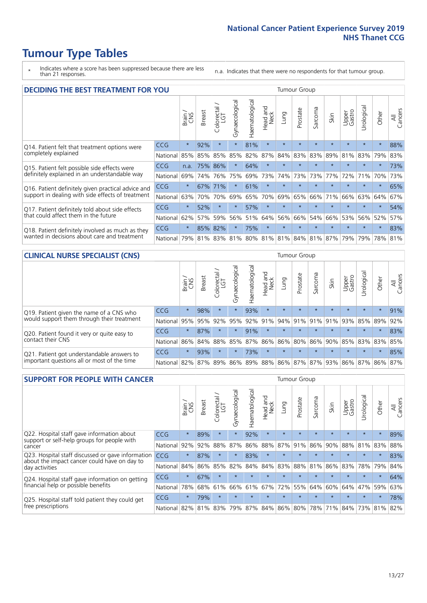- \* Indicates where a score has been suppressed because there are less than 21 responses.
- n.a. Indicates that there were no respondents for that tumour group.

| <b>DECIDING THE BEST TREATMENT FOR YOU</b>           |            |         |               |                             |                |                |                         |         | <b>Tumour Group</b> |                                         |         |                 |            |         |                |
|------------------------------------------------------|------------|---------|---------------|-----------------------------|----------------|----------------|-------------------------|---------|---------------------|-----------------------------------------|---------|-----------------|------------|---------|----------------|
|                                                      |            | Brain   | <b>Breast</b> | olorectal.<br>LGT<br>$\cup$ | Gynaecological | Haematological | ead and<br>Neck<br>Head | Lung    | Prostate            | arcoma<br>$\sqrt{ }$                    | Skin    | Upper<br>Gastro | Jrological | Other   | All<br>Cancers |
| CCG<br>Q14. Patient felt that treatment options were |            | $\star$ | 92%           | $\star$                     | $\star$        | 81%            | $\star$                 | $\star$ | $\star$             | $\star$                                 | $\star$ | $\star$         | $\star$    | $\star$ | 88%            |
| completely explained                                 | National   | 85%     | 85%           | 85%                         | 85%            | 82%            | 87%                     | 84%     | 83%                 | 83%                                     | 89%     | 81%             | 83%        | 79%     | 83%            |
| Q15. Patient felt possible side effects were         | CCG        | n.a.    | 75%           | 86%                         | $\star$        | 64%            | $\star$                 |         | $\star$             |                                         |         | $\star$         | $\star$    | $\star$ | 73%            |
| definitely explained in an understandable way        | National   | 69%     | 74%           | 76%                         | 75%            | 69%            | 73%                     | 74%     | 73%                 | 73%                                     | 77%     | 72%             | 71%        | 70%     | 73%            |
| Q16. Patient definitely given practical advice and   | <b>CCG</b> | $\star$ | 67%           | 71%                         | $\star$        | 61%            | $\star$                 | $\star$ | $\star$             | $\star$                                 | $\star$ | $\star$         | $\star$    | $\star$ | 65%            |
| support in dealing with side effects of treatment    | National   | 63%     | 70%           | 70%                         | 69%            | 65%            | 70%                     | 69%     | 65%                 | 66%                                     | 71%     | 66%             | 63%        | 64%     | 67%            |
| Q17. Patient definitely told about side effects      | CCG        | $\star$ | 52%           | $\star$                     | $\star$        | 57%            | $\star$                 | $\star$ | $\star$             | $\star$                                 | $\star$ | $\star$         | $\star$    | $\star$ | 54%            |
| that could affect them in the future                 | National   | 62%     | 57%           | 59%                         | 56%            | 51%            | 64%                     | 56%     | 66%                 | 54%                                     | 66%     | 53%             | 56%        | 52%     | 57%            |
| Q18. Patient definitely involved as much as they     | CCG        | $\star$ | 85%           | 82%                         | $\star$        | 75%            | $\star$                 | $\star$ | $\star$             | $\star$                                 | $\star$ | $\star$         | $\star$    | $\star$ | 83%            |
| wanted in decisions about care and treatment         | National   | 79%     |               |                             |                |                |                         |         |                     | 81% 83% 81% 80% 81% 81% 84% 81% 87% 79% |         |                 | 79%        | 78% 81% |                |

#### **CLINICAL NURSE SPECIALIST (CNS)** Tumour Group

|                                             |                                                                  | Brain   | <b>Breast</b>   | Colorectal<br>LGT | Gynaecologica | ক<br>O<br>aematologi | Head and<br>Neck | Lung    | Prostate | Sarcoma | Skin    | Upper<br>Gastro                     | $\sigma$<br>rologica | Other   | All<br>Cancers |
|---------------------------------------------|------------------------------------------------------------------|---------|-----------------|-------------------|---------------|----------------------|------------------|---------|----------|---------|---------|-------------------------------------|----------------------|---------|----------------|
| Q19. Patient given the name of a CNS who    | CCG                                                              | $\star$ | 98%             |                   |               | 93%                  | $\star$          | $\star$ | $\star$  | $\star$ | $\star$ | $\star$                             | $\star$              | $\star$ | 91%            |
| would support them through their treatment  | National                                                         | 95%     | 95%             | 92%               | 95%           | 92%                  | 91%              | 94% 91% |          |         | 91% 91% | 93%                                 | 85%                  | 89%     | 92%            |
| Q20. Patient found it very or quite easy to | CCG                                                              | $\star$ | 87%             |                   | $\star$       | 91%                  | $\star$          | $\star$ | $\star$  | $\star$ | $\star$ | $\star$                             | $\star$              | $\star$ | 83%            |
| contact their CNS                           | National                                                         |         | 86% 84% 88% 85% |                   |               |                      |                  |         |          |         |         | 87% 86% 86% 80% 86% 90% 85% 83% 83% |                      |         | 85%            |
| Q21. Patient got understandable answers to  | CCG                                                              | $\star$ | 93%             |                   | $\star$       | 73%                  | $\star$          | $\star$ | $\star$  | $\star$ | $\star$ | $\star$                             | $\star$              | $\star$ | 85%            |
| important questions all or most of the time | National 82% 87% 89% 86% 89% 88% 86% 87% 87% 93% 86% 87% 86% 87% |         |                 |                   |               |                      |                  |         |          |         |         |                                     |                      |         |                |

| <b>SUPPORT FOR PEOPLE WITH CANCER</b>                                                             |            |         |               |                        |                |                |                        |             | Tumour Group |         |         |                 |           |         |                |
|---------------------------------------------------------------------------------------------------|------------|---------|---------------|------------------------|----------------|----------------|------------------------|-------------|--------------|---------|---------|-----------------|-----------|---------|----------------|
|                                                                                                   |            | Brain   | <b>Breast</b> | olorectal.<br>LGT<br>Ũ | Gynaecological | Haematological | ad and<br>Neck<br>Head | Lung        | Prostate     | Sarcoma | Skin    | Upper<br>Gastro | Jrologica | Other   | All<br>Cancers |
| Q22. Hospital staff gave information about<br>support or self-help groups for people with         | <b>CCG</b> | $\star$ | 89%           | $\star$                | $\star$        | 92%            | $\star$                | $\star$     | $\star$      | $\star$ | $\star$ | $\star$         | $\star$   | $\star$ | 89%            |
| cancer                                                                                            | National   | 92%     | 92%           | 88%                    | 87%            | 86%            | 88%                    | 87%         | 91%          | 86%     | 90%     | 88%             | 81%       | 83%     | 88%            |
| Q23. Hospital staff discussed or gave information<br>about the impact cancer could have on day to | CCG        | $\star$ | 87%           | $\star$                | $\star$        | 83%            | $\star$                | $\star$     | $\star$      | $\star$ | $\star$ | $\star$         | $\star$   | $\star$ | 83%            |
| day activities                                                                                    | National   | 84%     | 86%           | 85%                    | 82%            | 84%            | 84%                    | 83%         | 88%          | 81%     | 86%     | 83%             | 78%       | 79%     | 84%            |
| Q24. Hospital staff gave information on getting                                                   | CCG        | $\star$ | 67%           | $\star$                | $\star$        | $\star$        | $\star$                | $\star$     | $\star$      | $\star$ | $\star$ | $\star$         | $\star$   | $\ast$  | 64%            |
| financial help or possible benefits                                                               | National   | 78%     | 68%           | 61%                    | 66%            | 61%            | 67%                    | 72%         | 55%          | 64%     | 60%     | 64%             | 47%       | 59%     | 63%            |
| Q25. Hospital staff told patient they could get                                                   | <b>CCG</b> | $\star$ | 79%           | $\star$                | $\star$        | $\star$        | $\star$                | $\star$     | $\star$      | $\star$ | $\star$ | $\star$         | $\star$   | $\ast$  | 78%            |
| free prescriptions                                                                                | National I | 82%     |               | 81% 83%                | 79%            | 87%            |                        | 84% 86% 80% |              | 78%     | 71%     | $84\%$          |           | 73% 81% | 82%            |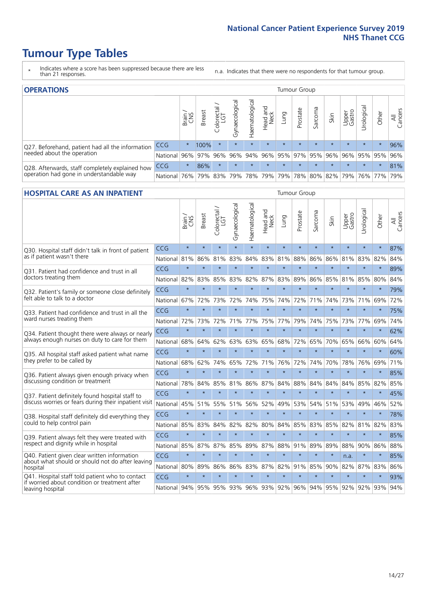- \* Indicates where a score has been suppressed because there are less than 21 responses.
- n.a. Indicates that there were no respondents for that tumour group.

| <b>OPERATIONS</b>                                |            |              |               |                   |                |                |                  |         | Tumour Group            |         |         |                 |                                                       |         |                |
|--------------------------------------------------|------------|--------------|---------------|-------------------|----------------|----------------|------------------|---------|-------------------------|---------|---------|-----------------|-------------------------------------------------------|---------|----------------|
|                                                  |            | Brain<br>CNS | <b>Breast</b> | Colorectal<br>LGT | Gynaecological | Haematological | Head and<br>Neck | Lung    | Prostate                | Sarcoma | Skin    | Upper<br>Gastro | Jrological                                            | Other   | All<br>Cancers |
| Q27. Beforehand, patient had all the information | <b>CCG</b> | $\star$      | 100%          | $\star$           | $\star$        | $\star$        | $\star$          | $\star$ | $\star$                 | $\star$ | $\star$ | $\star$         | $\star$                                               | $\star$ | 96%            |
| needed about the operation                       | National   | 96%          |               | 97% 96%           | 96%            |                |                  |         | 94% 96% 95% 97% 95% 96% |         |         |                 | 96% 95% 95%                                           |         | 96%            |
| Q28. Afterwards, staff completely explained how  | <b>CCG</b> | $\star$      | 86%           | $\star$           | $\star$        | $\star$        | $\star$          | $\star$ | $\star$                 | $\star$ | $\star$ | $\star$         | $\star$                                               | $\star$ | 81%            |
| operation had gone in understandable way         | National I | 76%          |               | 79% 83%           |                |                |                  |         |                         |         |         |                 | 79%  78%  79%  79%  78%  80%  82%  79%  76%  77%  79% |         |                |

### **HOSPITAL CARE AS AN INPATIENT** Tumour Group

|                                                                                                                      |              | Brain   | Breast  | Colorectal /<br>LGT | Gynaecological | Haematological | Head and<br>Neck | Lung    | Prostate | Sarcoma | Skin    | Upper<br>Gastro | Urological          | Other   | All<br>Cancers |
|----------------------------------------------------------------------------------------------------------------------|--------------|---------|---------|---------------------|----------------|----------------|------------------|---------|----------|---------|---------|-----------------|---------------------|---------|----------------|
| Q30. Hospital staff didn't talk in front of patient                                                                  | CCG          | $\star$ | $\star$ | $\star$             | $\star$        | $\star$        | $\star$          | $\star$ | $\star$  | $\star$ | $\star$ | $\star$         | $\star$             | $\star$ | 87%            |
| as if patient wasn't there                                                                                           | National     | 81%     | 86%     | 81%                 | 83%            | 84%            |                  | 83% 81% | 88%      | 86%     | 86%     | 81%             | 83%                 | 82%     | 84%            |
| O31. Patient had confidence and trust in all                                                                         | CCG          | $\star$ | $\star$ | $\star$             | $\star$        | $\star$        | $\star$          | $\star$ | $\star$  | $\star$ | $\star$ | $\star$         | $\star$             | $\star$ | 89%            |
| doctors treating them                                                                                                | National 82% |         | 83%     | 85%                 | 83%            | 82%            |                  | 87% 83% | 89%      | 86%     | 85%     | 81%             | 85%                 | 80%     | 84%            |
| Q32. Patient's family or someone close definitely<br>felt able to talk to a doctor                                   | CCG          | $\star$ | $\star$ | $\star$             | $\star$        | $\star$        | $\star$          | $\star$ | $\star$  | $\star$ | $\star$ | $\star$         | $\star$             | $\star$ | 79%            |
|                                                                                                                      | National     | 67%     | 72%     | 73%                 | 72%            | 74%            | 75%              | 74%     | 72%      | 71%     | 74%     |                 | 73% 71%             | 69%     | 72%            |
| Q33. Patient had confidence and trust in all the<br>ward nurses treating them                                        | CCG          | $\star$ | $\star$ | $\star$             | $\star$        | $\star$        | $\star$          | $\star$ | $\star$  | $\star$ | $\star$ | $\star$         | $\star$             | $\star$ | 75%            |
|                                                                                                                      | National     | 72%     | 73%     | 72%                 | 71%            | 77%            | 75%              | 77%     | 79%      | 74%     | 75%     | 73%             | 77%                 | 69%     | 74%            |
| Q34. Patient thought there were always or nearly<br>always enough nurses on duty to care for them                    | CCG          | $\star$ | $\star$ | $\star$             | $\star$        | $\star$        | $\star$          | $\star$ | $\star$  | $\star$ | $\star$ | $\star$         | $\star$             | $\star$ | 62%            |
|                                                                                                                      | National     | 68%     | 64%     | 62%                 | 63%            | 63%            | 65%              | 68%     | 72%      | 65%     | 70%     | 65%             | 66%                 | 60%     | 64%            |
| Q35. All hospital staff asked patient what name<br>they prefer to be called by                                       | CCG          | $\star$ | $\star$ | $\star$             | $\star$        | $\star$        | $\star$          | $\star$ | $\star$  | $\star$ | $\star$ |                 | $\star$             | $\star$ | 60%            |
|                                                                                                                      | National     | 68%     | 62%     | 74%                 | 65%            | 72%            | 71%              | 76%     | 72%      | 74%     | 70%     | 78%             | 76%                 | 69%     | 71%            |
| Q36. Patient always given enough privacy when                                                                        | CCG          | $\star$ | $\star$ | $\star$             | $\star$        | $\star$        | $\star$          | $\star$ | $\star$  | $\star$ | $\star$ | $\star$         | $\star$             | $\star$ | 85%            |
| discussing condition or treatment                                                                                    | National     | 78%     | 84%     | 85%                 |                | 81% 86%        | 87%              | 84%     | 88%      | 84%     | 84%     | 84%             | 85%                 | 82%     | 85%            |
| Q37. Patient definitely found hospital staff to                                                                      | <b>CCG</b>   | $\star$ | $\star$ | $\star$             | $\star$        | $\star$        | $\star$          | $\star$ | $\star$  | ÷       | $\star$ |                 | $\star$             | $\star$ | 45%            |
| discuss worries or fears during their inpatient visit                                                                | National     | 45%     | 51%     | 55%                 | 51%            | 56%            | 52%              | 49%     | 53%      | 54%     | 51%     | 53%             | 49%                 | 46%     | 52%            |
| Q38. Hospital staff definitely did everything they                                                                   | CCG          | $\star$ | $\star$ | $\star$             | $\star$        | $\star$        | $\star$          | $\star$ | $\star$  | $\star$ | $\star$ | $\star$         | $\star$             | $\star$ | 78%            |
| could to help control pain                                                                                           | National     | 85%     | 83%     | 84%                 | 82%            | 82%            | 80%              | 84%     | 85%      | 83%     | 85%     | 82%             | 81%                 | 82%     | 83%            |
| Q39. Patient always felt they were treated with                                                                      | CCG          | $\star$ | $\star$ | $\star$             | $\star$        | $\star$        | $\star$          | $\star$ | $\star$  | $\star$ | $\star$ |                 | $\star$             | $\star$ | 85%            |
| respect and dignity while in hospital                                                                                | National 85% |         | 87%     | 87%                 | 85%            | 89%            |                  | 87% 88% | 91%      | 89%     | 89%     | 88%             | 90%                 | 86%     | 88%            |
| Q40. Patient given clear written information<br>about what should or should not do after leaving                     | CCG          | $\star$ | $\star$ | $\star$             | $\star$        | $\star$        | $\star$          | $\star$ | $\star$  | $\star$ | $\star$ | n.a.            | $\star$             | $\star$ | 85%            |
| hospital                                                                                                             | National     | 80%     | 89%     | 86%                 |                | 86% 83%        |                  | 87% 82% | 91%      | 85%     | 90%     |                 | 82% 87%             | 83%     | 86%            |
| Q41. Hospital staff told patient who to contact<br>if worried about condition or treatment after<br>leaving hospital | CCG          | $\star$ | $\star$ | $\star$             | $\star$        | $\star$        | $\star$          | $\star$ | $\star$  | $\star$ | $\star$ | $\star$         | $\star$             | $\star$ | 93%            |
|                                                                                                                      | National     | 94%     | 95%     |                     |                | 95% 93% 96%    |                  | 93% 92% |          |         |         |                 | 96% 94% 95% 92% 92% | 93%     | 94%            |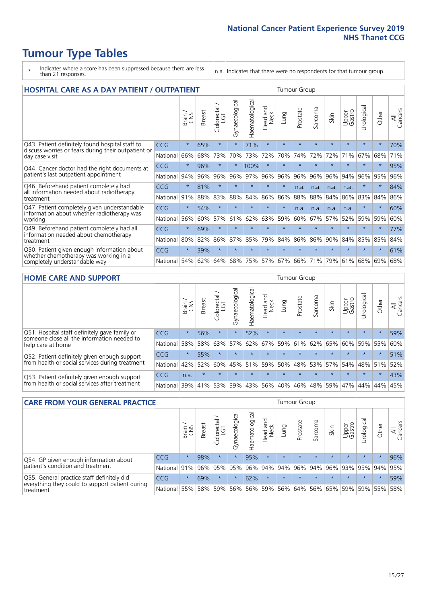- \* Indicates where a score has been suppressed because there are less than 21 responses.
- n.a. Indicates that there were no respondents for that tumour group.

| <b>HOSPITAL CARE AS A DAY PATIENT / OUTPATIENT</b>                                                                       |            |         |               |                                 |                |                       |                                |         | <b>Tumour Group</b> |              |         |                 |            |         |                |  |  |
|--------------------------------------------------------------------------------------------------------------------------|------------|---------|---------------|---------------------------------|----------------|-----------------------|--------------------------------|---------|---------------------|--------------|---------|-----------------|------------|---------|----------------|--|--|
|                                                                                                                          |            | Brain   | <b>Breast</b> | ╮<br>olorectal<br>LGT<br>$\cup$ | Gynaecological | <b>Haematological</b> | <b>Bad and</b><br>Neck<br>Head | Lung    | Prostate            | arcoma<br>vĀ | Skin    | Upper<br>Gastro | Urological | Other   | All<br>Cancers |  |  |
| Q43. Patient definitely found hospital staff to<br>discuss worries or fears during their outpatient or<br>day case visit | CCG        | $\star$ | 65%           | $\star$                         | $\star$        | 71%                   | $\star$                        | $\star$ | $\star$             | $\star$      | $\star$ | $\star$         | $\star$    | $\star$ | 70%            |  |  |
|                                                                                                                          | National   | 66%     | 68%           | 73%                             | 70%            | 73%                   | 72%                            | 70%     | 74%                 | 72%          | 72%     | 71%             | 67%        | 68%     | 71%            |  |  |
| Q44. Cancer doctor had the right documents at<br>patient's last outpatient appointment                                   | CCG        | $\star$ | 96%           |                                 |                | 100%                  | $\star$                        | $\star$ | $\star$             | $\star$      |         | $\star$         | $\star$    | $\star$ | 95%            |  |  |
|                                                                                                                          | National   | 94%     | 96%           | 96%                             | 96%            | 97%                   | 96%                            | 96%     | 96%                 | 96%          | 96%     | 94%             | 96%        | 95%     | 96%            |  |  |
| Q46. Beforehand patient completely had                                                                                   | CCG        | $\star$ | 81%           |                                 | $\star$        | $\star$               | $\star$                        | $\star$ | n.a.                | n.a.         | n.a.    | n.a.            | $\star$    | $\star$ | 84%            |  |  |
| all information needed about radiotherapy<br>treatment                                                                   | National   | 91%     | 88%           | 83%                             | 88%            | 84%                   | 86%                            | 86%     | 88%                 | 88%          | 84%     | 86%             | 83%        | 84%     | 86%            |  |  |
| Q47. Patient completely given understandable                                                                             | CCG        | $\star$ | 54%           | $\star$                         | $\star$        | $\star$               | $\star$                        | $\star$ | n.a.                | n.a.         | n.a.    | n.a.            | $\star$    | $\ast$  | 60%            |  |  |
| information about whether radiotherapy was<br>working                                                                    | National   | 56%     | 60%           | 57%                             | 61%            | 62%                   | 63%                            | 59%     | 60%                 | 67%          | 57%     | 52%             | 59%        | 59%     | 60%            |  |  |
| Q49. Beforehand patient completely had all                                                                               | <b>CCG</b> | $\star$ | 69%           | $\star$                         | $\star$        | $\star$               | $\star$                        | $\star$ | $\star$             | $\star$      | $\star$ | $\star$         | $\star$    | $\star$ | 77%            |  |  |
| information needed about chemotherapy<br>treatment                                                                       | National   | 80%     | 82%           | 86%                             | 87%            | 85%                   | 79%                            | 84%     | 86%                 | 86%          | 90%     | 84%             | 85%        | 85%     | 84%            |  |  |
| Q50. Patient given enough information about<br>whether chemotherapy was working in a<br>completely understandable way    | CCG        | $\star$ | 39%           | $\star$                         | $\star$        | $\star$               | $\star$                        | $\star$ | $\star$             | $\star$      | $\star$ | $\star$         | $\star$    | $\star$ | 61%            |  |  |
|                                                                                                                          | National   | 54%     | 62%           | 64%                             | 68%            | 75%                   | 57%                            | 67%     | 66%                 | 71%          | 79%     | 61%             | 68%        | 69%     | 68%            |  |  |

#### **HOME CARE AND SUPPORT** Tumour Group

|                                                                                                                   |            | Brain   | <b>Breast</b> | Colorectal<br>LGT | ᢛ<br>Gynaecologic | Haematological | ad and<br>Neck<br>Head | <b>Lung</b> | Prostate | Sarcoma | Skin    | Upper<br>Gastro | Urological | Other   | All<br>Cancers |
|-------------------------------------------------------------------------------------------------------------------|------------|---------|---------------|-------------------|-------------------|----------------|------------------------|-------------|----------|---------|---------|-----------------|------------|---------|----------------|
| Q51. Hospital staff definitely gave family or<br>someone close all the information needed to<br>help care at home | <b>CCG</b> | $\star$ | 56%           | $\star$           | $\star$           | 52%            | $\star$                | $\star$     | $\star$  | $\star$ | $\star$ | $\star$         | $\star$    | $\star$ | 59%            |
|                                                                                                                   | National   | 58%     | 58%           | 63%               | 57%               | 62%            | 67%                    | 59%         | 61%      |         | 62% 65% | 60%             | 59% 55%    |         | 60%            |
| Q52. Patient definitely given enough support<br>from health or social services during treatment                   | <b>CCG</b> | $\star$ | 55%           | $\star$           | $\star$           |                | $\star$                | $\star$     | $\star$  |         | $\star$ | $\star$         | $\star$    | $\star$ | 51%            |
|                                                                                                                   | National   | 42%     | 52%           | 60%               |                   | 45% 51%        | 59%                    | 50%         | 48%      |         | 53% 57% | 54%             | 48% 51%    |         | 52%            |
| Q53. Patient definitely given enough support<br>from health or social services after treatment                    | <b>CCG</b> | n.a.    | $\star$       | $\star$           | $\star$           | $\star$        | $\star$                | $\star$     | $\star$  | $\star$ | $\star$ | $\star$         | $\star$    | $\star$ | 43%            |
|                                                                                                                   | National   | 39%     |               | 41% 53%           | 39%               | 43%            | 56%                    | 40%         | 46%      |         | 48% 59% | 47%             | 44%        | 44%     | 45%            |

| <b>CARE FROM YOUR GENERAL PRACTICE</b>                                                                     |              |         |               |                   |                |                                     | Tumour Group                            |         |                             |         |         |                 |           |         |                |
|------------------------------------------------------------------------------------------------------------|--------------|---------|---------------|-------------------|----------------|-------------------------------------|-----------------------------------------|---------|-----------------------------|---------|---------|-----------------|-----------|---------|----------------|
|                                                                                                            |              | Brain   | <b>Breast</b> | Colorectal<br>LGT | Gynaecological | $\overline{\sigma}$<br>Haematologic | Head and<br>Neck                        | Lung    | Prostate                    | Sarcoma | Skin    | Upper<br>Gastro | Urologica | Other   | All<br>Cancers |
| Q54. GP given enough information about<br>patient's condition and treatment                                | <b>CCG</b>   | $\star$ | 98%           | $\star$           | $\star$        | 95%                                 | $\star$                                 | $\star$ | $\star$                     | $\star$ | $\star$ | $\star$         | $\star$   | $\star$ | 96%            |
|                                                                                                            | National 91% |         |               | 96% 95%           | 95%            |                                     | 96% 94% 94% 96% 94% 96% 93% 95% 94% 95% |         |                             |         |         |                 |           |         |                |
| Q55. General practice staff definitely did<br>everything they could to support patient during<br>treatment | <b>CCG</b>   | $\star$ | 69%           | $\star$           | $\star$        | 62%                                 | $\star$                                 | $\star$ | $\star$                     | $\star$ | $\star$ | $\star$         | $\star$   | $\star$ | 59%            |
|                                                                                                            | National     | 55%     |               | 58% 59%           | 56%            |                                     | 56% 59%                                 |         | 56% 64% 56% 65% 59% 59% 55% |         |         |                 |           |         | 58%            |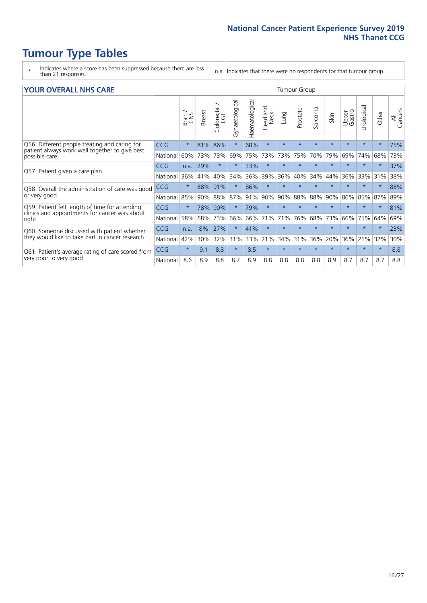- \* Indicates where a score has been suppressed because there are less than 21 responses.
- n.a. Indicates that there were no respondents for that tumour group.

#### **YOUR OVERALL NHS CARE** THE CONSTRUCTION OF THE THROUP GROUP TUMOUR GROUP

|                                                                                                                  |            | Brain<br>CNS | <b>Breast</b> | Colorectal /<br>LGT | Gynaecological | Haematological | aad and<br>Neck<br>Head | Lung    | Prostate | arcoma<br>$\sqrt{ }$ | Skin    | Upper<br>Gastro | ෆී<br>Urologia | Other    | All<br>Cancers |
|------------------------------------------------------------------------------------------------------------------|------------|--------------|---------------|---------------------|----------------|----------------|-------------------------|---------|----------|----------------------|---------|-----------------|----------------|----------|----------------|
| Q56. Different people treating and caring for<br>patient always work well together to give best<br>possible care | <b>CCG</b> | $\star$      | 81%           | 86%                 | $\star$        | 68%            | $\star$                 | $\star$ | $\star$  | $\star$              | $\star$ | $\star$         | $\star$        | $\ast$   | 75%            |
|                                                                                                                  | National   | 60%          | 73%           | 73%                 | 69%            | 75%            | 73%                     | 73%     | 75%      | 70%                  | 79%     | 69%             | 74%            | 68%      | 73%            |
| Q57. Patient given a care plan                                                                                   | <b>CCG</b> | n.a.         | 29%           | $\star$             |                | 33%            | $\ast$                  | $\star$ | $\star$  | $\star$              | $\star$ | $\star$         | $\star$        | $\star$  | 37%            |
|                                                                                                                  | National   | 36%          | 41%           | 40%                 | 34%            | 36%            | 39%                     | 36%     | 40%      | 34%                  | 44%     | 36%             | 33%            | 31%      | 38%            |
| Q58. Overall the administration of care was good                                                                 | <b>CCG</b> | $\star$      | 88%           | 91%                 |                | 86%            | $\ast$                  | $\star$ | $\star$  | $\star$              |         |                 |                |          | 88%            |
| or very good                                                                                                     | National   | 85%          | 90%           | 88%                 | 87%            | 91%            | 90%                     | 90%     | 88%      | 88%                  | 90%     | 86%             | 85%            | 87%      | 89%            |
| Q59. Patient felt length of time for attending<br>clinics and appointments for cancer was about                  | <b>CCG</b> | $\star$      | 78%           | 90%                 |                | 79%            | $\star$                 | $\star$ | $\star$  | $\star$              | $\star$ | $\star$         | $\star$        | $\ast$   | 81%            |
| right                                                                                                            | National   | 58%          | 68%           | 73%                 | 66%            | 66%            | 71%                     | 71%     | 76%      | 68%                  | 73%     | 66%             | 75%            | 64%      | 69%            |
| Q60. Someone discussed with patient whether                                                                      | <b>CCG</b> | n.a.         | 8%            | 27%                 |                | 41%            | $\star$                 | $\star$ | $\star$  | $\star$              | $\star$ |                 |                | $^\star$ | 23%            |
| they would like to take part in cancer research                                                                  | National   | 42%          | 30%           | 32%                 | 31%            | 33%            | 21%                     | 34%     | 31%      | 36%                  | 20%     | 36%             | 21%            | 32%      | 30%            |
| Q61. Patient's average rating of care scored from                                                                | <b>CCG</b> | $\star$      | 9.1           | 8.8                 | $\star$        | 8.5            | $\star$                 | $\star$ | $\star$  | $\star$              | $\star$ | $\star$         |                | $\star$  | 8.8            |
| very poor to very good                                                                                           | National   | 8.6          | 8.9           | 8.8                 | 8.7            | 8.9            | 8.8                     | 8.8     | 8.8      | 8.8                  | 8.9     | 8.7             | 8.7            | 8.7      | 8.8            |
|                                                                                                                  |            |              |               |                     |                |                |                         |         |          |                      |         |                 |                |          |                |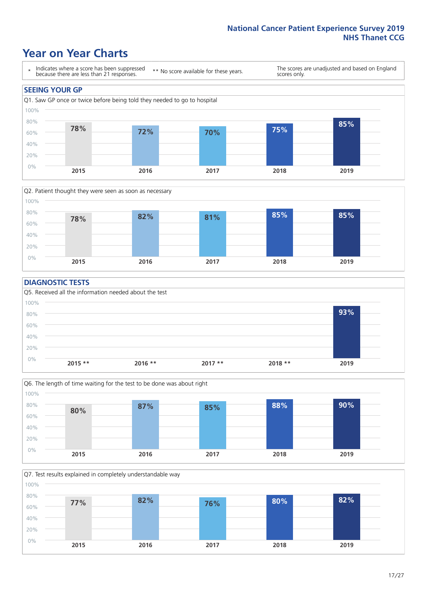### **Year on Year Charts**





#### **DIAGNOSTIC TESTS**





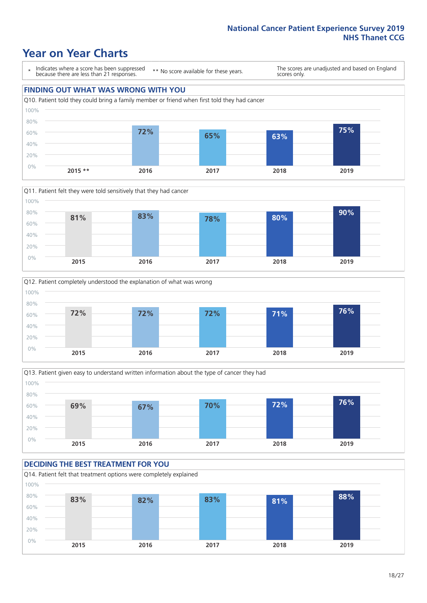### **Year on Year Charts**

\* Indicates where a score has been suppressed because there are less than 21 responses.

\*\* No score available for these years.

The scores are unadjusted and based on England scores only.

#### **FINDING OUT WHAT WAS WRONG WITH YOU**









### **DECIDING THE BEST TREATMENT FOR YOU**

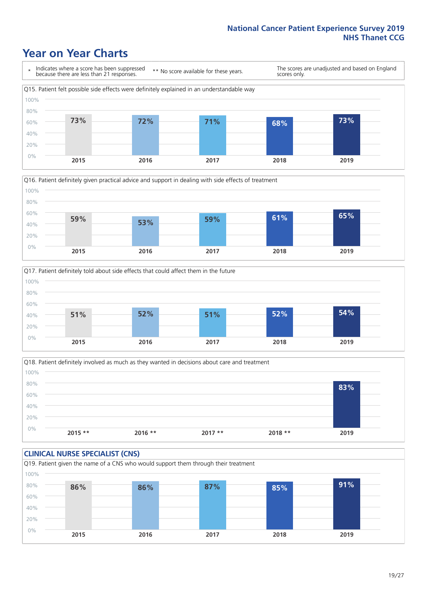### **Year on Year Charts**







Q18. Patient definitely involved as much as they wanted in decisions about care and treatment  $0%$ 20% 40% 60% 80% 100% **2015 \*\* 2016 \*\* 2017 \*\* 2018 \*\* 2019 83%**

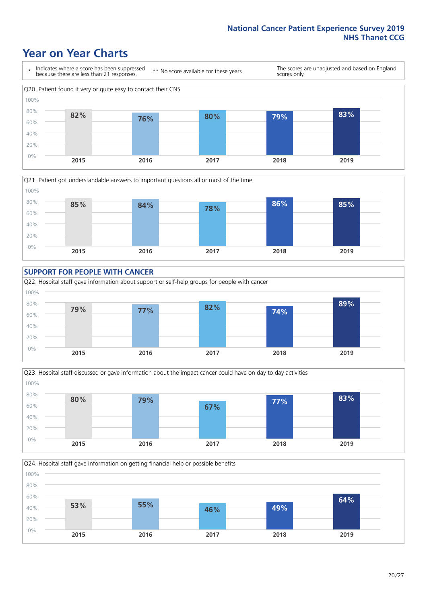### **Year on Year Charts**











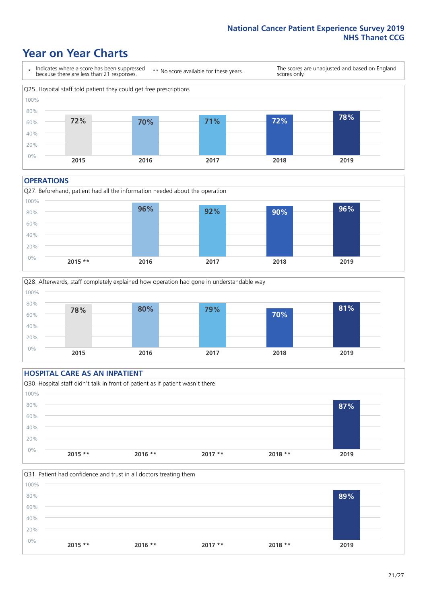### **Year on Year Charts**



#### **OPERATIONS**





### **HOSPITAL CARE AS AN INPATIENT** Q30. Hospital staff didn't talk in front of patient as if patient wasn't there 0% 20% 40% 60% 80% 100% **2015 \*\* 2016 \*\* 2017 \*\* 2018 \*\* 2019 87%**

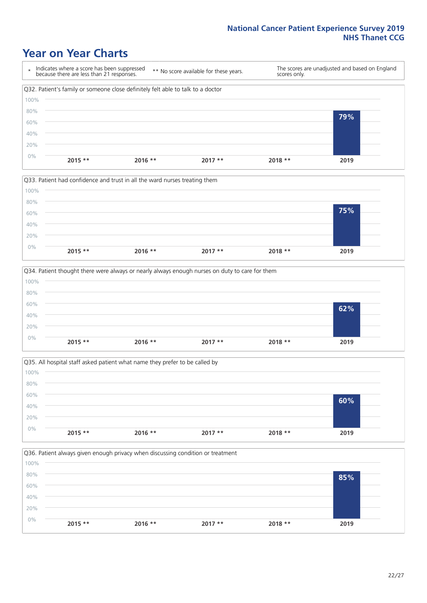### **Year on Year Charts**









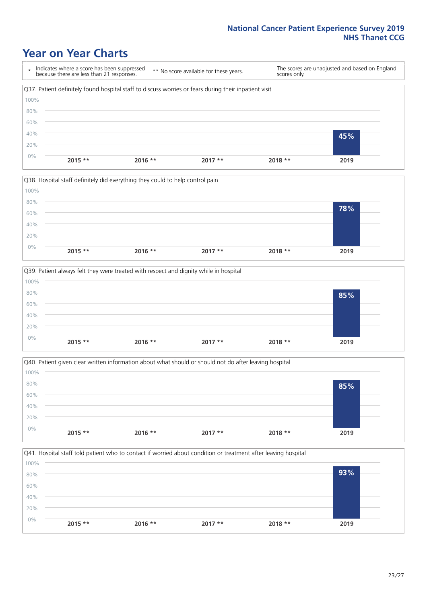### **Year on Year Charts**

\* Indicates where a score has been suppressed because there are less than 21 responses. \*\* No score available for these years. The scores are unadjusted and based on England scores only. Q37. Patient definitely found hospital staff to discuss worries or fears during their inpatient visit 0% 20% 40% 60% 80% 100% **2015 \*\* 2016 \*\* 2017 \*\* 2018 \*\* 2019 45%**







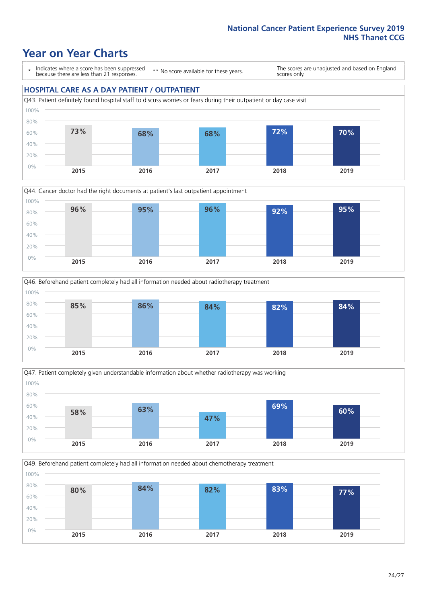### **Year on Year Charts**

\* Indicates where a score has been suppressed because there are less than 21 responses.

\*\* No score available for these years.

The scores are unadjusted and based on England scores only.

#### **HOSPITAL CARE AS A DAY PATIENT / OUTPATIENT**









Q49. Beforehand patient completely had all information needed about chemotherapy treatment 0% 20% 40% 60% 80% 100% **2015 2016 2017 2018 2019 80% 84% 82% 83% 77%**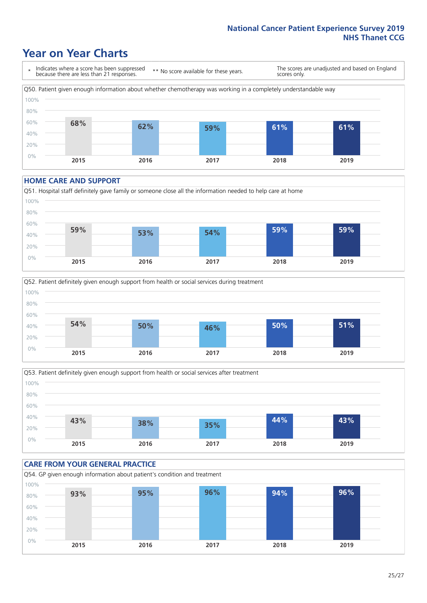### **Year on Year Charts**

\* Indicates where a score has been suppressed because there are less than 21 responses.

\*\* No score available for these years.

The scores are unadjusted and based on England scores only.



#### **HOME CARE AND SUPPORT**







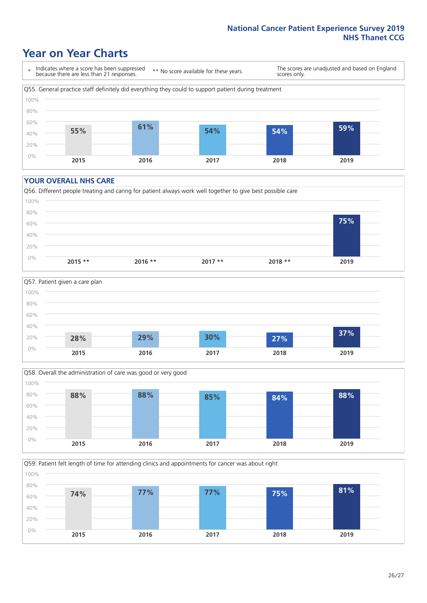### **Year on Year Charts**

\* Indicates where a score has been suppressed because there are less than 21 responses.

\*\* No score available for these years.

The scores are unadjusted and based on England scores only.



#### **YOUR OVERALL NHS CARE**